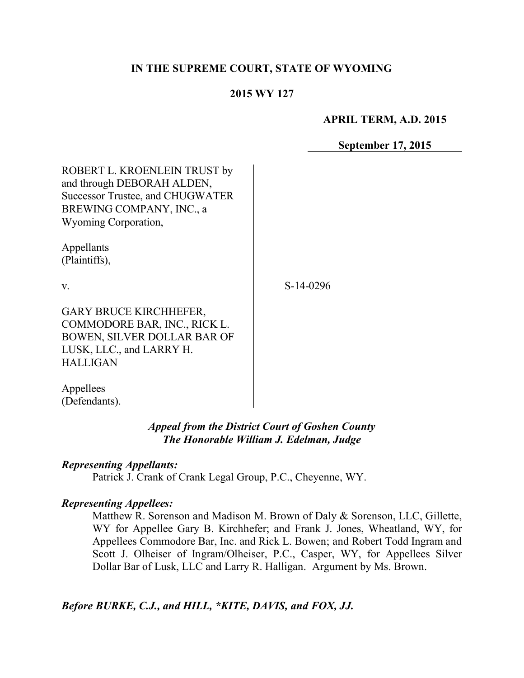#### **IN THE SUPREME COURT, STATE OF WYOMING**

#### **2015 WY 127**

**APRIL TERM, A.D. 2015**

**September 17, 2015**

| ROBERT L. KROENLEIN TRUST by<br>and through DEBORAH ALDEN,<br><b>Successor Trustee, and CHUGWATER</b><br>BREWING COMPANY, INC., a<br>Wyoming Corporation, |           |
|-----------------------------------------------------------------------------------------------------------------------------------------------------------|-----------|
| Appellants<br>(Plaintiffs),                                                                                                                               |           |
| $\mathbf{V}$ .                                                                                                                                            | S-14-0296 |
| <b>GARY BRUCE KIRCHHEFER,</b><br>COMMODORE BAR, INC., RICK L.<br>BOWEN, SILVER DOLLAR BAR OF<br>LUSK, LLC., and LARRY H.<br><b>HALLIGAN</b>               |           |
| Appellees                                                                                                                                                 |           |

*Appeal from the District Court of Goshen County The Honorable William J. Edelman, Judge*

#### *Representing Appellants:*

(Defendants).

Patrick J. Crank of Crank Legal Group, P.C., Cheyenne, WY.

#### *Representing Appellees:*

Matthew R. Sorenson and Madison M. Brown of Daly & Sorenson, LLC, Gillette, WY for Appellee Gary B. Kirchhefer; and Frank J. Jones, Wheatland, WY, for Appellees Commodore Bar, Inc. and Rick L. Bowen; and Robert Todd Ingram and Scott J. Olheiser of Ingram/Olheiser, P.C., Casper, WY, for Appellees Silver Dollar Bar of Lusk, LLC and Larry R. Halligan. Argument by Ms. Brown.

*Before BURKE, C.J., and HILL, \*KITE, DAVIS, and FOX, JJ.*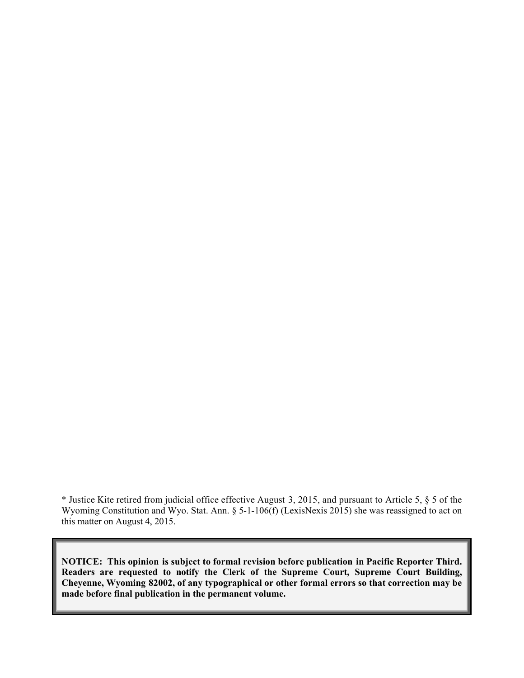\* Justice Kite retired from judicial office effective August 3, 2015, and pursuant to Article 5, § 5 of the Wyoming Constitution and Wyo. Stat. Ann. § 5-1-106(f) (LexisNexis 2015) she was reassigned to act on this matter on August 4, 2015.

**NOTICE: This opinion is subject to formal revision before publication in Pacific Reporter Third. Readers are requested to notify the Clerk of the Supreme Court, Supreme Court Building, Cheyenne, Wyoming 82002, of any typographical or other formal errors so that correction may be made before final publication in the permanent volume.**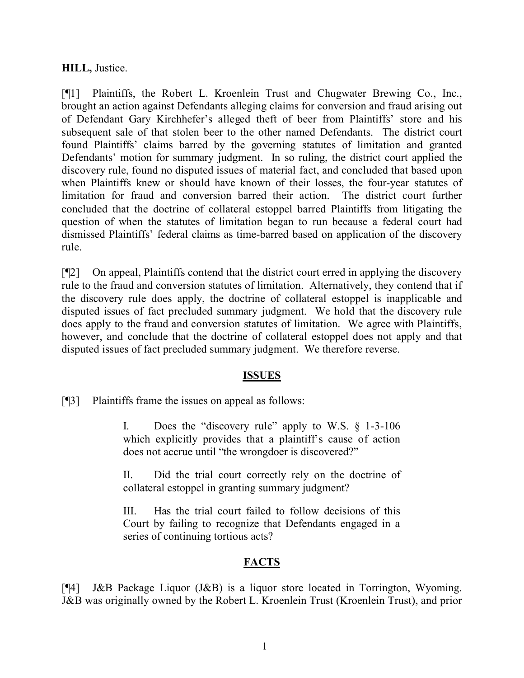#### **HILL,** Justice.

[¶1] Plaintiffs, the Robert L. Kroenlein Trust and Chugwater Brewing Co., Inc., brought an action against Defendants alleging claims for conversion and fraud arising out of Defendant Gary Kirchhefer's alleged theft of beer from Plaintiffs' store and his subsequent sale of that stolen beer to the other named Defendants. The district court found Plaintiffs' claims barred by the governing statutes of limitation and granted Defendants' motion for summary judgment. In so ruling, the district court applied the discovery rule, found no disputed issues of material fact, and concluded that based upon when Plaintiffs knew or should have known of their losses, the four-year statutes of limitation for fraud and conversion barred their action. The district court further concluded that the doctrine of collateral estoppel barred Plaintiffs from litigating the question of when the statutes of limitation began to run because a federal court had dismissed Plaintiffs' federal claims as time-barred based on application of the discovery rule.

[¶2] On appeal, Plaintiffs contend that the district court erred in applying the discovery rule to the fraud and conversion statutes of limitation. Alternatively, they contend that if the discovery rule does apply, the doctrine of collateral estoppel is inapplicable and disputed issues of fact precluded summary judgment. We hold that the discovery rule does apply to the fraud and conversion statutes of limitation. We agree with Plaintiffs, however, and conclude that the doctrine of collateral estoppel does not apply and that disputed issues of fact precluded summary judgment. We therefore reverse.

## **ISSUES**

[¶3] Plaintiffs frame the issues on appeal as follows:

I. Does the "discovery rule" apply to W.S. § 1-3-106 which explicitly provides that a plaintiff's cause of action does not accrue until "the wrongdoer is discovered?"

II. Did the trial court correctly rely on the doctrine of collateral estoppel in granting summary judgment?

III. Has the trial court failed to follow decisions of this Court by failing to recognize that Defendants engaged in a series of continuing tortious acts?

## **FACTS**

[¶4] J&B Package Liquor (J&B) is a liquor store located in Torrington, Wyoming. J&B was originally owned by the Robert L. Kroenlein Trust (Kroenlein Trust), and prior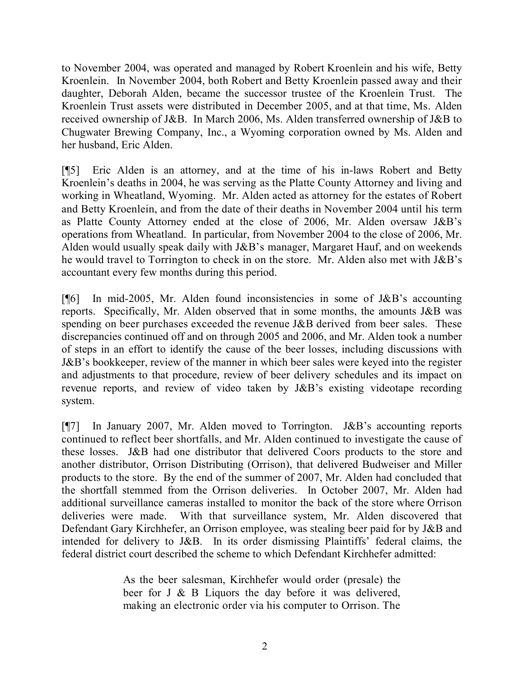to November 2004, was operated and managed by Robert Kroenlein and his wife, Betty Kroenlein. In November 2004, both Robert and Betty Kroenlein passed away and their daughter, Deborah Alden, became the successor trustee of the Kroenlein Trust. The Kroenlein Trust assets were distributed in December 2005, and at that time, Ms. Alden received ownership of J&B. In March 2006, Ms. Alden transferred ownership of J&B to Chugwater Brewing Company, Inc., a Wyoming corporation owned by Ms. Alden and her husband, Eric Alden.

[¶5] Eric Alden is an attorney, and at the time of his in-laws Robert and Betty Kroenlein's deaths in 2004, he was serving as the Platte County Attorney and living and working in Wheatland, Wyoming. Mr. Alden acted as attorney for the estates of Robert and Betty Kroenlein, and from the date of their deaths in November 2004 until his term as Platte County Attorney ended at the close of 2006, Mr. Alden oversaw J&B's operations from Wheatland. In particular, from November 2004 to the close of 2006, Mr. Alden would usually speak daily with J&B's manager, Margaret Hauf, and on weekends he would travel to Torrington to check in on the store. Mr. Alden also met with J&B's accountant every few months during this period.

[ $[$ 6] In mid-2005, Mr. Alden found inconsistencies in some of J&B's accounting reports. Specifically, Mr. Alden observed that in some months, the amounts J&B was spending on beer purchases exceeded the revenue J&B derived from beer sales. These discrepancies continued off and on through 2005 and 2006, and Mr. Alden took a number of steps in an effort to identify the cause of the beer losses, including discussions with J&B's bookkeeper, review of the manner in which beer sales were keyed into the register and adjustments to that procedure, review of beer delivery schedules and its impact on revenue reports, and review of video taken by J&B's existing videotape recording system.

[¶7] In January 2007, Mr. Alden moved to Torrington. J&B's accounting reports continued to reflect beer shortfalls, and Mr. Alden continued to investigate the cause of these losses. J&B had one distributor that delivered Coors products to the store and another distributor, Orrison Distributing (Orrison), that delivered Budweiser and Miller products to the store. By the end of the summer of 2007, Mr. Alden had concluded that the shortfall stemmed from the Orrison deliveries. In October 2007, Mr. Alden had additional surveillance cameras installed to monitor the back of the store where Orrison deliveries were made. With that surveillance system, Mr. Alden discovered that Defendant Gary Kirchhefer, an Orrison employee, was stealing beer paid for by J&B and intended for delivery to J&B. In its order dismissing Plaintiffs' federal claims, the federal district court described the scheme to which Defendant Kirchhefer admitted:

> As the beer salesman, Kirchhefer would order (presale) the beer for J & B Liquors the day before it was delivered, making an electronic order via his computer to Orrison. The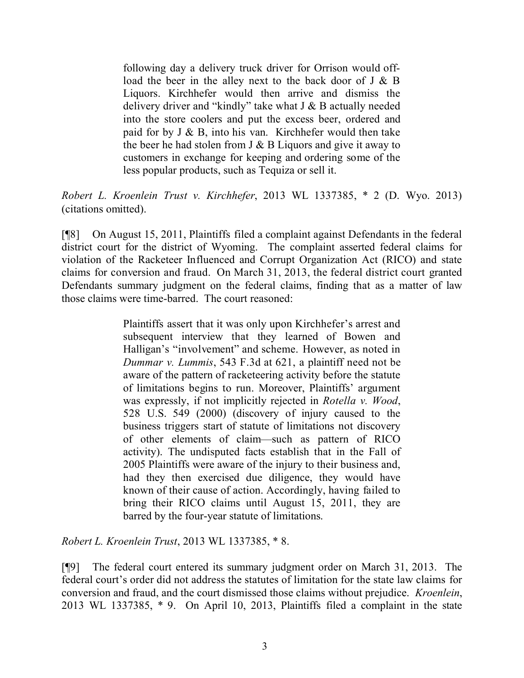following day a delivery truck driver for Orrison would offload the beer in the alley next to the back door of J & B Liquors. Kirchhefer would then arrive and dismiss the delivery driver and "kindly" take what  $J & B$  actually needed into the store coolers and put the excess beer, ordered and paid for by  $J \& B$ , into his van. Kirchhefer would then take the beer he had stolen from  $J \& B$  Liquors and give it away to customers in exchange for keeping and ordering some of the less popular products, such as Tequiza or sell it.

*Robert L. Kroenlein Trust v. Kirchhefer*, 2013 WL 1337385, \* 2 (D. Wyo. 2013) (citations omitted).

[¶8] On August 15, 2011, Plaintiffs filed a complaint against Defendants in the federal district court for the district of Wyoming. The complaint asserted federal claims for violation of the Racketeer Influenced and Corrupt Organization Act (RICO) and state claims for conversion and fraud. On March 31, 2013, the federal district court granted Defendants summary judgment on the federal claims, finding that as a matter of law those claims were time-barred. The court reasoned:

> Plaintiffs assert that it was only upon Kirchhefer's arrest and subsequent interview that they learned of Bowen and Halligan's "involvement" and scheme. However, as noted in *Dummar v. Lummis*, 543 F.3d at 621, a plaintiff need not be aware of the pattern of racketeering activity before the statute of limitations begins to run. Moreover, Plaintiffs' argument was expressly, if not implicitly rejected in *Rotella v. Wood*, 528 U.S. 549 (2000) (discovery of injury caused to the business triggers start of statute of limitations not discovery of other elements of claim—such as pattern of RICO activity). The undisputed facts establish that in the Fall of 2005 Plaintiffs were aware of the injury to their business and, had they then exercised due diligence, they would have known of their cause of action. Accordingly, having failed to bring their RICO claims until August 15, 2011, they are barred by the four-year statute of limitations.

*Robert L. Kroenlein Trust*, 2013 WL 1337385, \* 8.

[¶9] The federal court entered its summary judgment order on March 31, 2013. The federal court's order did not address the statutes of limitation for the state law claims for conversion and fraud, and the court dismissed those claims without prejudice. *Kroenlein*, 2013 WL 1337385, \* 9. On April 10, 2013, Plaintiffs filed a complaint in the state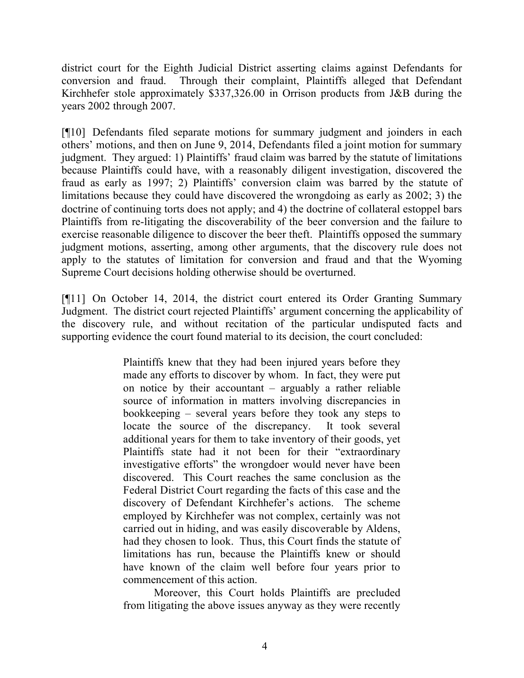district court for the Eighth Judicial District asserting claims against Defendants for conversion and fraud. Through their complaint, Plaintiffs alleged that Defendant Kirchhefer stole approximately \$337,326.00 in Orrison products from J&B during the years 2002 through 2007.

[¶10] Defendants filed separate motions for summary judgment and joinders in each others' motions, and then on June 9, 2014, Defendants filed a joint motion for summary judgment. They argued: 1) Plaintiffs' fraud claim was barred by the statute of limitations because Plaintiffs could have, with a reasonably diligent investigation, discovered the fraud as early as 1997; 2) Plaintiffs' conversion claim was barred by the statute of limitations because they could have discovered the wrongdoing as early as 2002; 3) the doctrine of continuing torts does not apply; and 4) the doctrine of collateral estoppel bars Plaintiffs from re-litigating the discoverability of the beer conversion and the failure to exercise reasonable diligence to discover the beer theft. Plaintiffs opposed the summary judgment motions, asserting, among other arguments, that the discovery rule does not apply to the statutes of limitation for conversion and fraud and that the Wyoming Supreme Court decisions holding otherwise should be overturned.

[¶11] On October 14, 2014, the district court entered its Order Granting Summary Judgment. The district court rejected Plaintiffs' argument concerning the applicability of the discovery rule, and without recitation of the particular undisputed facts and supporting evidence the court found material to its decision, the court concluded:

> Plaintiffs knew that they had been injured years before they made any efforts to discover by whom. In fact, they were put on notice by their accountant – arguably a rather reliable source of information in matters involving discrepancies in bookkeeping – several years before they took any steps to locate the source of the discrepancy. It took several additional years for them to take inventory of their goods, yet Plaintiffs state had it not been for their "extraordinary investigative efforts" the wrongdoer would never have been discovered. This Court reaches the same conclusion as the Federal District Court regarding the facts of this case and the discovery of Defendant Kirchhefer's actions. The scheme employed by Kirchhefer was not complex, certainly was not carried out in hiding, and was easily discoverable by Aldens, had they chosen to look. Thus, this Court finds the statute of limitations has run, because the Plaintiffs knew or should have known of the claim well before four years prior to commencement of this action.

Moreover, this Court holds Plaintiffs are precluded from litigating the above issues anyway as they were recently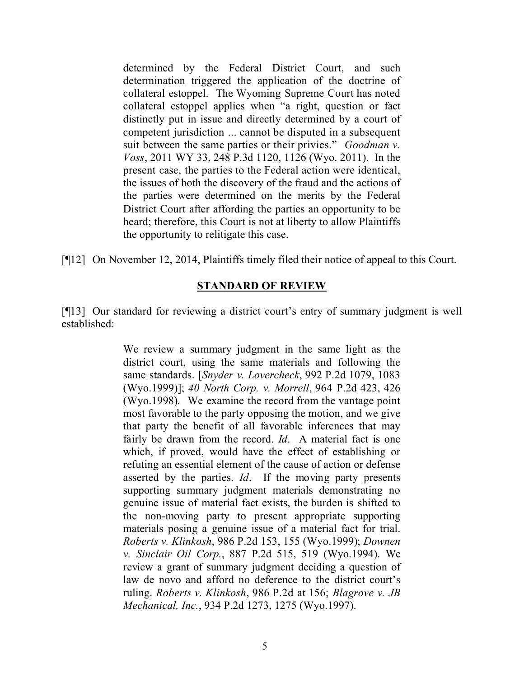determined by the Federal District Court, and such determination triggered the application of the doctrine of collateral estoppel. The Wyoming Supreme Court has noted collateral estoppel applies when "a right, question or fact distinctly put in issue and directly determined by a court of competent jurisdiction ... cannot be disputed in a subsequent suit between the same parties or their privies." *Goodman v. Voss*, 2011 WY 33, 248 P.3d 1120, 1126 (Wyo. 2011). In the present case, the parties to the Federal action were identical, the issues of both the discovery of the fraud and the actions of the parties were determined on the merits by the Federal District Court after affording the parties an opportunity to be heard; therefore, this Court is not at liberty to allow Plaintiffs the opportunity to relitigate this case.

[¶12] On November 12, 2014, Plaintiffs timely filed their notice of appeal to this Court.

## **STANDARD OF REVIEW**

[¶13] Our standard for reviewing a district court's entry of summary judgment is well established:

> We review a summary judgment in the same light as the district court, using the same materials and following the same standards. [*Snyder v. Lovercheck*, 992 P.2d 1079, 1083 (Wyo.1999)]; *40 North Corp. v. Morrell*, 964 P.2d 423, 426 (Wyo.1998). We examine the record from the vantage point most favorable to the party opposing the motion, and we give that party the benefit of all favorable inferences that may fairly be drawn from the record. *Id*. A material fact is one which, if proved, would have the effect of establishing or refuting an essential element of the cause of action or defense asserted by the parties. *Id*. If the moving party presents supporting summary judgment materials demonstrating no genuine issue of material fact exists, the burden is shifted to the non-moving party to present appropriate supporting materials posing a genuine issue of a material fact for trial. *Roberts v. Klinkosh*, 986 P.2d 153, 155 (Wyo.1999); *Downen v. Sinclair Oil Corp.*, 887 P.2d 515, 519 (Wyo.1994). We review a grant of summary judgment deciding a question of law de novo and afford no deference to the district court's ruling. *Roberts v. Klinkosh*, 986 P.2d at 156; *Blagrove v. JB Mechanical, Inc.*, 934 P.2d 1273, 1275 (Wyo.1997).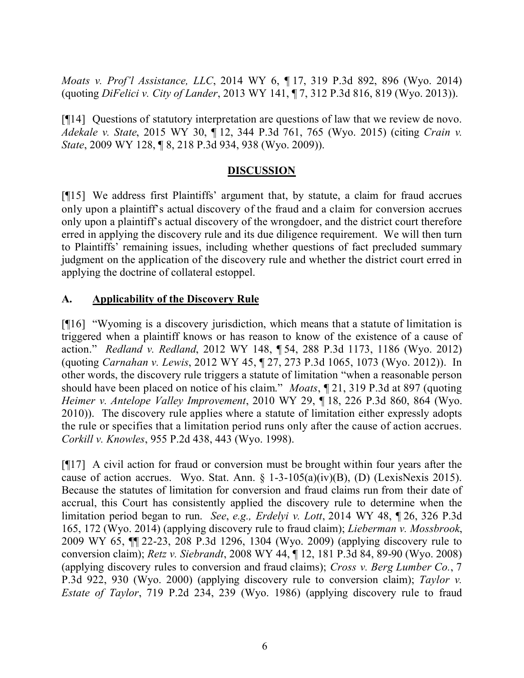*Moats v. Prof'l Assistance, LLC*, 2014 WY 6, ¶ 17, 319 P.3d 892, 896 (Wyo. 2014) (quoting *DiFelici v. City of Lander*, 2013 WY 141, ¶ 7, 312 P.3d 816, 819 (Wyo. 2013)).

[¶14] Questions of statutory interpretation are questions of law that we review de novo. *Adekale v. State*, 2015 WY 30, ¶ 12, 344 P.3d 761, 765 (Wyo. 2015) (citing *Crain v. State*, 2009 WY 128, ¶ 8, 218 P.3d 934, 938 (Wyo. 2009)).

## **DISCUSSION**

[¶15] We address first Plaintiffs' argument that, by statute, a claim for fraud accrues only upon a plaintiff's actual discovery of the fraud and a claim for conversion accrues only upon a plaintiff's actual discovery of the wrongdoer, and the district court therefore erred in applying the discovery rule and its due diligence requirement. We will then turn to Plaintiffs' remaining issues, including whether questions of fact precluded summary judgment on the application of the discovery rule and whether the district court erred in applying the doctrine of collateral estoppel.

## **A. Applicability of the Discovery Rule**

[¶16] "Wyoming is a discovery jurisdiction, which means that a statute of limitation is triggered when a plaintiff knows or has reason to know of the existence of a cause of action." *Redland v. Redland*, 2012 WY 148, ¶ 54, 288 P.3d 1173, 1186 (Wyo. 2012) (quoting *Carnahan v. Lewis*, 2012 WY 45, ¶ 27, 273 P.3d 1065, 1073 (Wyo. 2012)). In other words, the discovery rule triggers a statute of limitation "when a reasonable person should have been placed on notice of his claim." *Moats*, ¶ 21, 319 P.3d at 897 (quoting *Heimer v. Antelope Valley Improvement*, 2010 WY 29, ¶ 18, 226 P.3d 860, 864 (Wyo. 2010)). The discovery rule applies where a statute of limitation either expressly adopts the rule or specifies that a limitation period runs only after the cause of action accrues. *Corkill v. Knowles*, 955 P.2d 438, 443 (Wyo. 1998).

[¶17] A civil action for fraud or conversion must be brought within four years after the cause of action accrues. Wyo. Stat. Ann.  $\S$  1-3-105(a)(iv)(B), (D) (LexisNexis 2015). Because the statutes of limitation for conversion and fraud claims run from their date of accrual, this Court has consistently applied the discovery rule to determine when the limitation period began to run. *See*, *e.g., Erdelyi v. Lott*, 2014 WY 48, ¶ 26, 326 P.3d 165, 172 (Wyo. 2014) (applying discovery rule to fraud claim); *Lieberman v. Mossbrook*, 2009 WY 65, ¶¶ 22-23, 208 P.3d 1296, 1304 (Wyo. 2009) (applying discovery rule to conversion claim); *Retz v. Siebrandt*, 2008 WY 44, ¶ 12, 181 P.3d 84, 89-90 (Wyo. 2008) (applying discovery rules to conversion and fraud claims); *Cross v. Berg Lumber Co.*, 7 P.3d 922, 930 (Wyo. 2000) (applying discovery rule to conversion claim); *Taylor v. Estate of Taylor*, 719 P.2d 234, 239 (Wyo. 1986) (applying discovery rule to fraud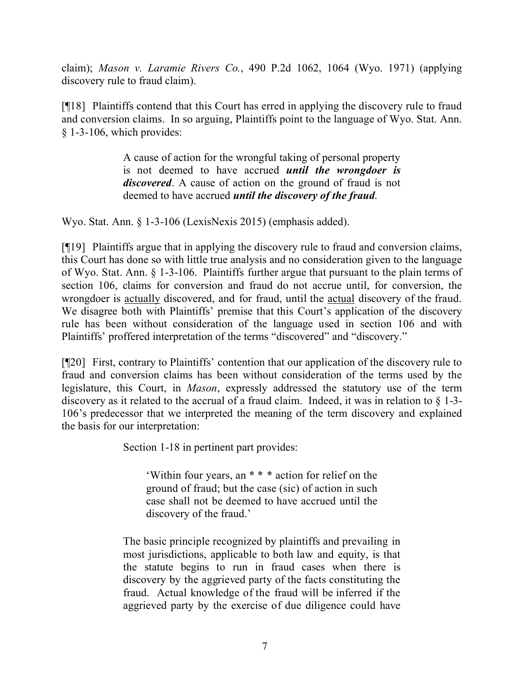claim); *Mason v. Laramie Rivers Co.*, 490 P.2d 1062, 1064 (Wyo. 1971) (applying discovery rule to fraud claim).

[¶18] Plaintiffs contend that this Court has erred in applying the discovery rule to fraud and conversion claims. In so arguing, Plaintiffs point to the language of Wyo. Stat. Ann. § 1-3-106, which provides:

> A cause of action for the wrongful taking of personal property is not deemed to have accrued *until the wrongdoer is discovered*. A cause of action on the ground of fraud is not deemed to have accrued *until the discovery of the fraud*.

Wyo. Stat. Ann. § 1-3-106 (LexisNexis 2015) (emphasis added).

[¶19] Plaintiffs argue that in applying the discovery rule to fraud and conversion claims, this Court has done so with little true analysis and no consideration given to the language of Wyo. Stat. Ann. § 1-3-106. Plaintiffs further argue that pursuant to the plain terms of section 106, claims for conversion and fraud do not accrue until, for conversion, the wrongdoer is actually discovered, and for fraud, until the actual discovery of the fraud. We disagree both with Plaintiffs' premise that this Court's application of the discovery rule has been without consideration of the language used in section 106 and with Plaintiffs' proffered interpretation of the terms "discovered" and "discovery."

[¶20] First, contrary to Plaintiffs' contention that our application of the discovery rule to fraud and conversion claims has been without consideration of the terms used by the legislature, this Court, in *Mason*, expressly addressed the statutory use of the term discovery as it related to the accrual of a fraud claim. Indeed, it was in relation to § 1-3- 106's predecessor that we interpreted the meaning of the term discovery and explained the basis for our interpretation:

Section 1-18 in pertinent part provides:

'Within four years, an \* \* \* action for relief on the ground of fraud; but the case (sic) of action in such case shall not be deemed to have accrued until the discovery of the fraud.'

The basic principle recognized by plaintiffs and prevailing in most jurisdictions, applicable to both law and equity, is that the statute begins to run in fraud cases when there is discovery by the aggrieved party of the facts constituting the fraud. Actual knowledge of the fraud will be inferred if the aggrieved party by the exercise of due diligence could have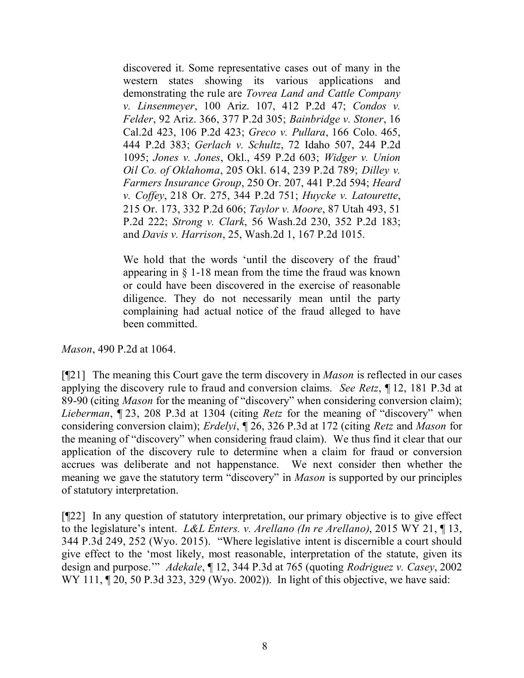discovered it. Some representative cases out of many in the western states showing its various applications and demonstrating the rule are *Tovrea Land and Cattle Company v. Linsenmeyer*, 100 Ariz. 107, 412 P.2d 47; *Condos v. Felder*, 92 Ariz. 366, 377 P.2d 305; *Bainbridge v. Stoner*, 16 Cal.2d 423, 106 P.2d 423; *Greco v. Pullara*, 166 Colo. 465, 444 P.2d 383; *Gerlach v. Schultz*, 72 Idaho 507, 244 P.2d 1095; *Jones v. Jones*, Okl., 459 P.2d 603; *Widger v. Union Oil Co. of Oklahoma*, 205 Okl. 614, 239 P.2d 789; *Dilley v. Farmers Insurance Group*, 250 Or. 207, 441 P.2d 594; *Heard v. Coffey*, 218 Or. 275, 344 P.2d 751; *Huycke v. Latourette*, 215 Or. 173, 332 P.2d 606; *Taylor v. Moore*, 87 Utah 493, 51 P.2d 222; *Strong v. Clark*, 56 Wash.2d 230, 352 P.2d 183; and *Davis v. Harrison*, 25, Wash.2d 1, 167 P.2d 1015.

We hold that the words 'until the discovery of the fraud' appearing in § 1-18 mean from the time the fraud was known or could have been discovered in the exercise of reasonable diligence. They do not necessarily mean until the party complaining had actual notice of the fraud alleged to have been committed.

*Mason*, 490 P.2d at 1064.

[¶21] The meaning this Court gave the term discovery in *Mason* is reflected in our cases applying the discovery rule to fraud and conversion claims. *See Retz*, ¶ 12, 181 P.3d at 89-90 (citing *Mason* for the meaning of "discovery" when considering conversion claim); *Lieberman*, ¶ 23, 208 P.3d at 1304 (citing *Retz* for the meaning of "discovery" when considering conversion claim); *Erdelyi*, ¶ 26, 326 P.3d at 172 (citing *Retz* and *Mason* for the meaning of "discovery" when considering fraud claim). We thus find it clear that our application of the discovery rule to determine when a claim for fraud or conversion accrues was deliberate and not happenstance. We next consider then whether the meaning we gave the statutory term "discovery" in *Mason* is supported by our principles of statutory interpretation.

[¶22] In any question of statutory interpretation, our primary objective is to give effect to the legislature's intent. *L&L Enters. v. Arellano (In re Arellano)*, 2015 WY 21, ¶ 13, 344 P.3d 249, 252 (Wyo. 2015). "Where legislative intent is discernible a court should give effect to the 'most likely, most reasonable, interpretation of the statute, given its design and purpose.'" *Adekale*, ¶ 12, 344 P.3d at 765 (quoting *Rodriguez v. Casey*, 2002 WY 111, 120, 50 P.3d 323, 329 (Wyo. 2002)). In light of this objective, we have said: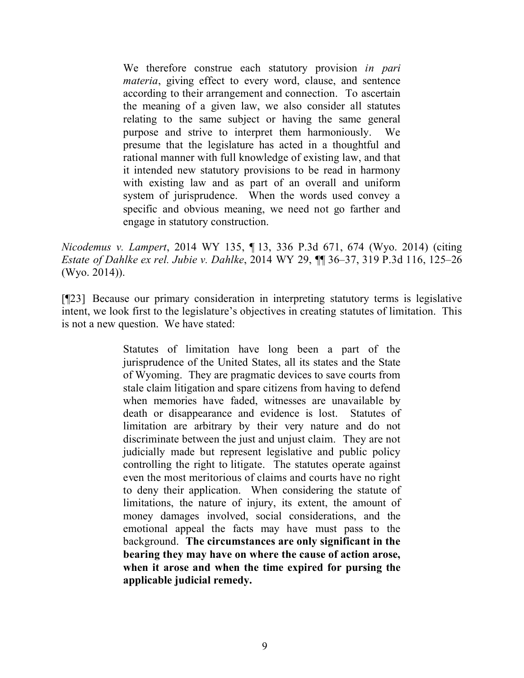We therefore construe each statutory provision *in pari materia*, giving effect to every word, clause, and sentence according to their arrangement and connection. To ascertain the meaning of a given law, we also consider all statutes relating to the same subject or having the same general purpose and strive to interpret them harmoniously. We presume that the legislature has acted in a thoughtful and rational manner with full knowledge of existing law, and that it intended new statutory provisions to be read in harmony with existing law and as part of an overall and uniform system of jurisprudence. When the words used convey a specific and obvious meaning, we need not go farther and engage in statutory construction.

*Nicodemus v. Lampert*, 2014 WY 135, ¶ 13, 336 P.3d 671, 674 (Wyo. 2014) (citing *Estate of Dahlke ex rel. Jubie v. Dahlke*, 2014 WY 29, ¶¶ 36–37, 319 P.3d 116, 125–26 (Wyo. 2014)).

[¶23] Because our primary consideration in interpreting statutory terms is legislative intent, we look first to the legislature's objectives in creating statutes of limitation. This is not a new question. We have stated:

> Statutes of limitation have long been a part of the jurisprudence of the United States, all its states and the State of Wyoming. They are pragmatic devices to save courts from stale claim litigation and spare citizens from having to defend when memories have faded, witnesses are unavailable by death or disappearance and evidence is lost. Statutes of limitation are arbitrary by their very nature and do not discriminate between the just and unjust claim. They are not judicially made but represent legislative and public policy controlling the right to litigate. The statutes operate against even the most meritorious of claims and courts have no right to deny their application. When considering the statute of limitations, the nature of injury, its extent, the amount of money damages involved, social considerations, and the emotional appeal the facts may have must pass to the background. **The circumstances are only significant in the bearing they may have on where the cause of action arose, when it arose and when the time expired for pursing the applicable judicial remedy.**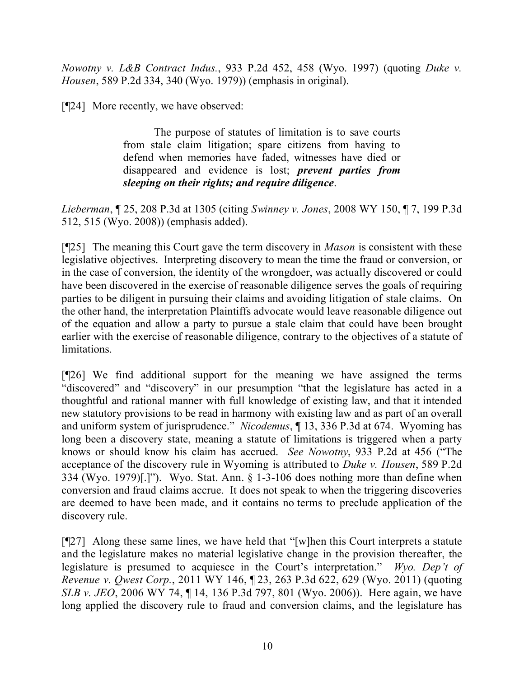*Nowotny v. L&B Contract Indus.*, 933 P.2d 452, 458 (Wyo. 1997) (quoting *Duke v. Housen*, 589 P.2d 334, 340 (Wyo. 1979)) (emphasis in original).

[¶24] More recently, we have observed:

The purpose of statutes of limitation is to save courts from stale claim litigation; spare citizens from having to defend when memories have faded, witnesses have died or disappeared and evidence is lost; *prevent parties from sleeping on their rights; and require diligence*.

*Lieberman*, ¶ 25, 208 P.3d at 1305 (citing *Swinney v. Jones*, 2008 WY 150, ¶ 7, 199 P.3d 512, 515 (Wyo. 2008)) (emphasis added).

[¶25] The meaning this Court gave the term discovery in *Mason* is consistent with these legislative objectives. Interpreting discovery to mean the time the fraud or conversion, or in the case of conversion, the identity of the wrongdoer, was actually discovered or could have been discovered in the exercise of reasonable diligence serves the goals of requiring parties to be diligent in pursuing their claims and avoiding litigation of stale claims. On the other hand, the interpretation Plaintiffs advocate would leave reasonable diligence out of the equation and allow a party to pursue a stale claim that could have been brought earlier with the exercise of reasonable diligence, contrary to the objectives of a statute of limitations.

[¶26] We find additional support for the meaning we have assigned the terms "discovered" and "discovery" in our presumption "that the legislature has acted in a thoughtful and rational manner with full knowledge of existing law, and that it intended new statutory provisions to be read in harmony with existing law and as part of an overall and uniform system of jurisprudence." *Nicodemus*, ¶ 13, 336 P.3d at 674. Wyoming has long been a discovery state, meaning a statute of limitations is triggered when a party knows or should know his claim has accrued. *See Nowotny*, 933 P.2d at 456 ("The acceptance of the discovery rule in Wyoming is attributed to *Duke v. Housen*, 589 P.2d 334 (Wyo. 1979)[.]"). Wyo. Stat. Ann. § 1-3-106 does nothing more than define when conversion and fraud claims accrue. It does not speak to when the triggering discoveries are deemed to have been made, and it contains no terms to preclude application of the discovery rule.

[¶27] Along these same lines, we have held that "[w]hen this Court interprets a statute and the legislature makes no material legislative change in the provision thereafter, the legislature is presumed to acquiesce in the Court's interpretation." *Wyo. Dep't of Revenue v. Qwest Corp.*, 2011 WY 146, ¶ 23, 263 P.3d 622, 629 (Wyo. 2011) (quoting *SLB v. JEO*, 2006 WY 74, 14, 136 P.3d 797, 801 (Wyo. 2006)). Here again, we have long applied the discovery rule to fraud and conversion claims, and the legislature has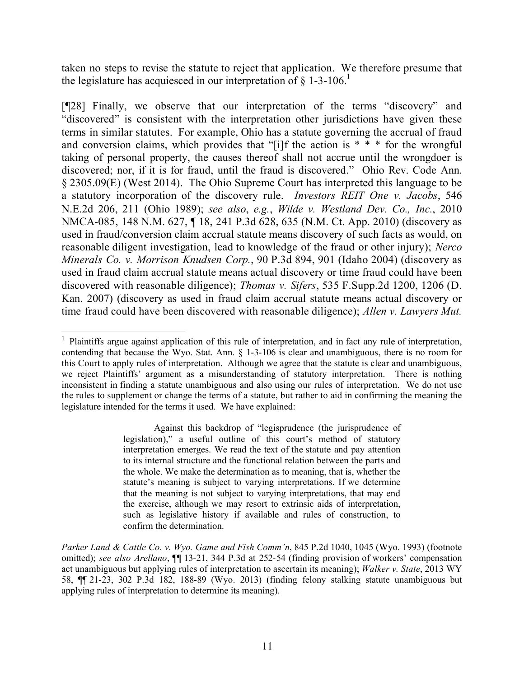taken no steps to revise the statute to reject that application. We therefore presume that the legislature has acquiesced in our interpretation of  $\S$  1-3-106.<sup>1</sup>

[¶28] Finally, we observe that our interpretation of the terms "discovery" and "discovered" is consistent with the interpretation other jurisdictions have given these terms in similar statutes. For example, Ohio has a statute governing the accrual of fraud and conversion claims, which provides that "[i]f the action is  $* * *$  for the wrongful taking of personal property, the causes thereof shall not accrue until the wrongdoer is discovered; nor, if it is for fraud, until the fraud is discovered." Ohio Rev. Code Ann. § 2305.09(E) (West 2014). The Ohio Supreme Court has interpreted this language to be a statutory incorporation of the discovery rule. *Investors REIT One v. Jacobs*, 546 N.E.2d 206, 211 (Ohio 1989); *see also*, *e.g.*, *Wilde v. Westland Dev. Co., Inc.*, 2010 NMCA-085, 148 N.M. 627, ¶ 18, 241 P.3d 628, 635 (N.M. Ct. App. 2010) (discovery as used in fraud/conversion claim accrual statute means discovery of such facts as would, on reasonable diligent investigation, lead to knowledge of the fraud or other injury); *Nerco Minerals Co. v. Morrison Knudsen Corp.*, 90 P.3d 894, 901 (Idaho 2004) (discovery as used in fraud claim accrual statute means actual discovery or time fraud could have been discovered with reasonable diligence); *Thomas v. Sifers*, 535 F.Supp.2d 1200, 1206 (D. Kan. 2007) (discovery as used in fraud claim accrual statute means actual discovery or time fraud could have been discovered with reasonable diligence); *Allen v. Lawyers Mut.* 

Against this backdrop of "legisprudence (the jurisprudence of legislation)," a useful outline of this court's method of statutory interpretation emerges. We read the text of the statute and pay attention to its internal structure and the functional relation between the parts and the whole. We make the determination as to meaning, that is, whether the statute's meaning is subject to varying interpretations. If we determine that the meaning is not subject to varying interpretations, that may end the exercise, although we may resort to extrinsic aids of interpretation, such as legislative history if available and rules of construction, to confirm the determination.

 <sup>1</sup> Plaintiffs argue against application of this rule of interpretation, and in fact any rule of interpretation, contending that because the Wyo. Stat. Ann. § 1-3-106 is clear and unambiguous, there is no room for this Court to apply rules of interpretation. Although we agree that the statute is clear and unambiguous, we reject Plaintiffs' argument as a misunderstanding of statutory interpretation. There is nothing inconsistent in finding a statute unambiguous and also using our rules of interpretation. We do not use the rules to supplement or change the terms of a statute, but rather to aid in confirming the meaning the legislature intended for the terms it used. We have explained:

*Parker Land & Cattle Co. v. Wyo. Game and Fish Comm'n*, 845 P.2d 1040, 1045 (Wyo. 1993) (footnote omitted); *see also Arellano*, ¶¶ 13-21, 344 P.3d at 252-54 (finding provision of workers' compensation act unambiguous but applying rules of interpretation to ascertain its meaning); *Walker v. State*, 2013 WY 58, ¶¶ 21-23, 302 P.3d 182, 188-89 (Wyo. 2013) (finding felony stalking statute unambiguous but applying rules of interpretation to determine its meaning).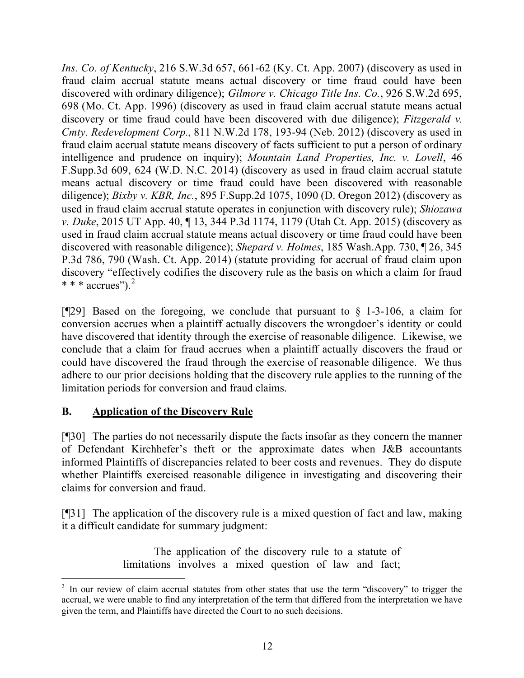*Ins. Co. of Kentucky*, 216 S.W.3d 657, 661-62 (Ky. Ct. App. 2007) (discovery as used in fraud claim accrual statute means actual discovery or time fraud could have been discovered with ordinary diligence); *Gilmore v. Chicago Title Ins. Co.*, 926 S.W.2d 695, 698 (Mo. Ct. App. 1996) (discovery as used in fraud claim accrual statute means actual discovery or time fraud could have been discovered with due diligence); *Fitzgerald v. Cmty. Redevelopment Corp.*, 811 N.W.2d 178, 193-94 (Neb. 2012) (discovery as used in fraud claim accrual statute means discovery of facts sufficient to put a person of ordinary intelligence and prudence on inquiry); *Mountain Land Properties, Inc. v. Lovell*, 46 F.Supp.3d 609, 624 (W.D. N.C. 2014) (discovery as used in fraud claim accrual statute means actual discovery or time fraud could have been discovered with reasonable diligence); *Bixby v. KBR, Inc.*, 895 F.Supp.2d 1075, 1090 (D. Oregon 2012) (discovery as used in fraud claim accrual statute operates in conjunction with discovery rule); *Shiozawa v. Duke*, 2015 UT App. 40, ¶ 13, 344 P.3d 1174, 1179 (Utah Ct. App. 2015) (discovery as used in fraud claim accrual statute means actual discovery or time fraud could have been discovered with reasonable diligence); *Shepard v. Holmes*, 185 Wash.App. 730, ¶ 26, 345 P.3d 786, 790 (Wash. Ct. App. 2014) (statute providing for accrual of fraud claim upon discovery "effectively codifies the discovery rule as the basis on which a claim for fraud  $* * * \text{accrues}'$ ).<sup>2</sup>

[ $[$ [29] Based on the foregoing, we conclude that pursuant to  $\S$  1-3-106, a claim for conversion accrues when a plaintiff actually discovers the wrongdoer's identity or could have discovered that identity through the exercise of reasonable diligence. Likewise, we conclude that a claim for fraud accrues when a plaintiff actually discovers the fraud or could have discovered the fraud through the exercise of reasonable diligence. We thus adhere to our prior decisions holding that the discovery rule applies to the running of the limitation periods for conversion and fraud claims.

## **B. Application of the Discovery Rule**

[¶30] The parties do not necessarily dispute the facts insofar as they concern the manner of Defendant Kirchhefer's theft or the approximate dates when J&B accountants informed Plaintiffs of discrepancies related to beer costs and revenues. They do dispute whether Plaintiffs exercised reasonable diligence in investigating and discovering their claims for conversion and fraud.

[¶31] The application of the discovery rule is a mixed question of fact and law, making it a difficult candidate for summary judgment:

> The application of the discovery rule to a statute of limitations involves a mixed question of law and fact;

 <sup>2</sup> In our review of claim accrual statutes from other states that use the term "discovery" to trigger the accrual, we were unable to find any interpretation of the term that differed from the interpretation we have given the term, and Plaintiffs have directed the Court to no such decisions.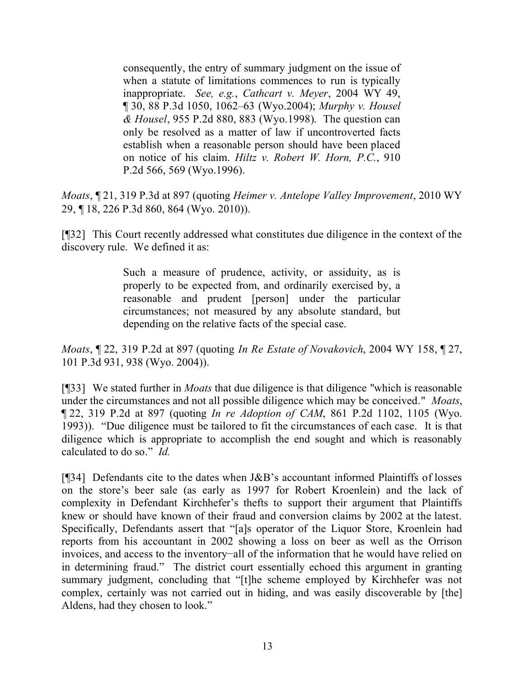consequently, the entry of summary judgment on the issue of when a statute of limitations commences to run is typically inappropriate. *See, e.g.*, *Cathcart v. Meyer*, 2004 WY 49, ¶ 30, 88 P.3d 1050, 1062–63 (Wyo.2004); *Murphy v. Housel & Housel*, 955 P.2d 880, 883 (Wyo.1998). The question can only be resolved as a matter of law if uncontroverted facts establish when a reasonable person should have been placed on notice of his claim. *Hiltz v. Robert W. Horn, P.C.*, 910 P.2d 566, 569 (Wyo.1996).

*Moats*, ¶ 21, 319 P.3d at 897 (quoting *Heimer v. Antelope Valley Improvement*, 2010 WY 29, ¶ 18, 226 P.3d 860, 864 (Wyo. 2010)).

[¶32] This Court recently addressed what constitutes due diligence in the context of the discovery rule. We defined it as:

> Such a measure of prudence, activity, or assiduity, as is properly to be expected from, and ordinarily exercised by, a reasonable and prudent [person] under the particular circumstances; not measured by any absolute standard, but depending on the relative facts of the special case.

*Moats*, ¶ 22, 319 P.2d at 897 (quoting *In Re Estate of Novakovich*, 2004 WY 158, ¶ 27, 101 P.3d 931, 938 (Wyo. 2004)).

[¶33] We stated further in *Moats* that due diligence is that diligence "which is reasonable under the circumstances and not all possible diligence which may be conceived." *Moats*, ¶ 22, 319 P.2d at 897 (quoting *In re Adoption of CAM*, 861 P.2d 1102, 1105 (Wyo. 1993)). "Due diligence must be tailored to fit the circumstances of each case. It is that diligence which is appropriate to accomplish the end sought and which is reasonably calculated to do so." *Id.*

[¶34] Defendants cite to the dates when J&B's accountant informed Plaintiffs of losses on the store's beer sale (as early as 1997 for Robert Kroenlein) and the lack of complexity in Defendant Kirchhefer's thefts to support their argument that Plaintiffs knew or should have known of their fraud and conversion claims by 2002 at the latest. Specifically, Defendants assert that "[a]s operator of the Liquor Store, Kroenlein had reports from his accountant in 2002 showing a loss on beer as well as the Orrison invoices, and access to the inventory−all of the information that he would have relied on in determining fraud." The district court essentially echoed this argument in granting summary judgment, concluding that "[t]he scheme employed by Kirchhefer was not complex, certainly was not carried out in hiding, and was easily discoverable by [the] Aldens, had they chosen to look."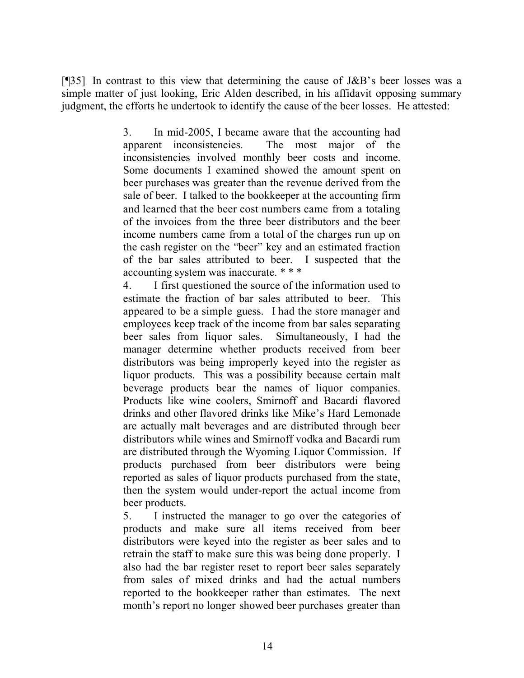[¶35] In contrast to this view that determining the cause of J&B's beer losses was a simple matter of just looking, Eric Alden described, in his affidavit opposing summary judgment, the efforts he undertook to identify the cause of the beer losses. He attested:

> 3. In mid-2005, I became aware that the accounting had apparent inconsistencies. The most major of the inconsistencies involved monthly beer costs and income. Some documents I examined showed the amount spent on beer purchases was greater than the revenue derived from the sale of beer. I talked to the bookkeeper at the accounting firm and learned that the beer cost numbers came from a totaling of the invoices from the three beer distributors and the beer income numbers came from a total of the charges run up on the cash register on the "beer" key and an estimated fraction of the bar sales attributed to beer. I suspected that the accounting system was inaccurate. \* \* \*

> 4. I first questioned the source of the information used to estimate the fraction of bar sales attributed to beer. This appeared to be a simple guess. I had the store manager and employees keep track of the income from bar sales separating beer sales from liquor sales. Simultaneously, I had the manager determine whether products received from beer distributors was being improperly keyed into the register as liquor products. This was a possibility because certain malt beverage products bear the names of liquor companies. Products like wine coolers, Smirnoff and Bacardi flavored drinks and other flavored drinks like Mike's Hard Lemonade are actually malt beverages and are distributed through beer distributors while wines and Smirnoff vodka and Bacardi rum are distributed through the Wyoming Liquor Commission. If products purchased from beer distributors were being reported as sales of liquor products purchased from the state, then the system would under-report the actual income from beer products.

> 5. I instructed the manager to go over the categories of products and make sure all items received from beer distributors were keyed into the register as beer sales and to retrain the staff to make sure this was being done properly. I also had the bar register reset to report beer sales separately from sales of mixed drinks and had the actual numbers reported to the bookkeeper rather than estimates. The next month's report no longer showed beer purchases greater than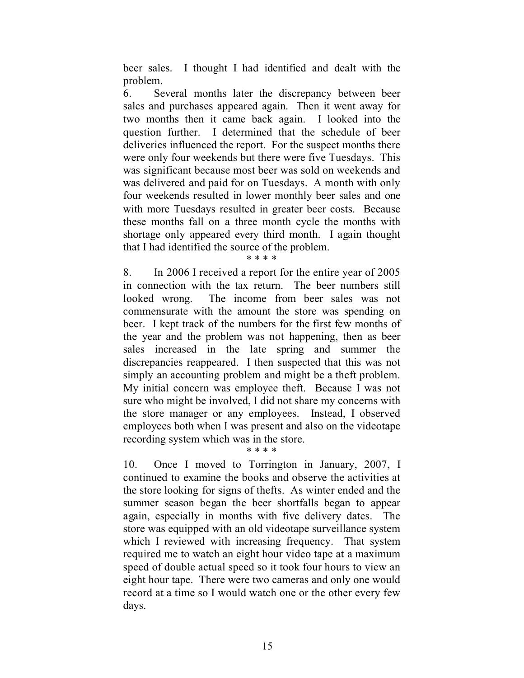beer sales. I thought I had identified and dealt with the problem.

6. Several months later the discrepancy between beer sales and purchases appeared again. Then it went away for two months then it came back again. I looked into the question further. I determined that the schedule of beer deliveries influenced the report. For the suspect months there were only four weekends but there were five Tuesdays. This was significant because most beer was sold on weekends and was delivered and paid for on Tuesdays. A month with only four weekends resulted in lower monthly beer sales and one with more Tuesdays resulted in greater beer costs. Because these months fall on a three month cycle the months with shortage only appeared every third month. I again thought that I had identified the source of the problem.

\* \* \* \*

8. In 2006 I received a report for the entire year of 2005 in connection with the tax return. The beer numbers still looked wrong. The income from beer sales was not commensurate with the amount the store was spending on beer. I kept track of the numbers for the first few months of the year and the problem was not happening, then as beer sales increased in the late spring and summer the discrepancies reappeared. I then suspected that this was not simply an accounting problem and might be a theft problem. My initial concern was employee theft. Because I was not sure who might be involved, I did not share my concerns with the store manager or any employees. Instead, I observed employees both when I was present and also on the videotape recording system which was in the store.

#### \* \* \* \*

10. Once I moved to Torrington in January, 2007, I continued to examine the books and observe the activities at the store looking for signs of thefts. As winter ended and the summer season began the beer shortfalls began to appear again, especially in months with five delivery dates. The store was equipped with an old videotape surveillance system which I reviewed with increasing frequency. That system required me to watch an eight hour video tape at a maximum speed of double actual speed so it took four hours to view an eight hour tape. There were two cameras and only one would record at a time so I would watch one or the other every few days.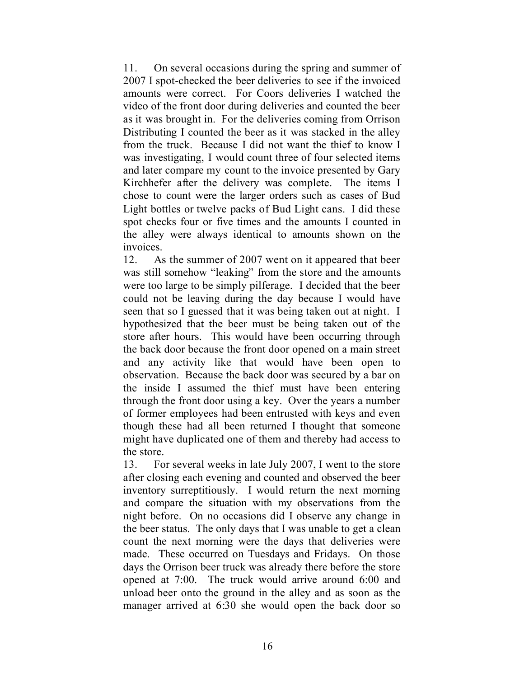11. On several occasions during the spring and summer of 2007 I spot-checked the beer deliveries to see if the invoiced amounts were correct. For Coors deliveries I watched the video of the front door during deliveries and counted the beer as it was brought in. For the deliveries coming from Orrison Distributing I counted the beer as it was stacked in the alley from the truck. Because I did not want the thief to know I was investigating, I would count three of four selected items and later compare my count to the invoice presented by Gary Kirchhefer after the delivery was complete. The items I chose to count were the larger orders such as cases of Bud Light bottles or twelve packs of Bud Light cans. I did these spot checks four or five times and the amounts I counted in the alley were always identical to amounts shown on the invoices.

12. As the summer of 2007 went on it appeared that beer was still somehow "leaking" from the store and the amounts were too large to be simply pilferage. I decided that the beer could not be leaving during the day because I would have seen that so I guessed that it was being taken out at night. I hypothesized that the beer must be being taken out of the store after hours. This would have been occurring through the back door because the front door opened on a main street and any activity like that would have been open to observation. Because the back door was secured by a bar on the inside I assumed the thief must have been entering through the front door using a key. Over the years a number of former employees had been entrusted with keys and even though these had all been returned I thought that someone might have duplicated one of them and thereby had access to the store.

13. For several weeks in late July 2007, I went to the store after closing each evening and counted and observed the beer inventory surreptitiously. I would return the next morning and compare the situation with my observations from the night before. On no occasions did I observe any change in the beer status. The only days that I was unable to get a clean count the next morning were the days that deliveries were made. These occurred on Tuesdays and Fridays. On those days the Orrison beer truck was already there before the store opened at 7:00. The truck would arrive around 6:00 and unload beer onto the ground in the alley and as soon as the manager arrived at 6:30 she would open the back door so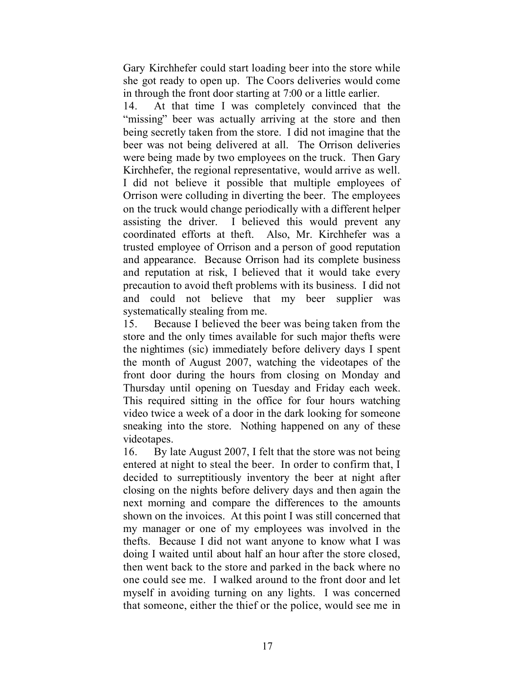Gary Kirchhefer could start loading beer into the store while she got ready to open up. The Coors deliveries would come in through the front door starting at 7:00 or a little earlier.

14. At that time I was completely convinced that the "missing" beer was actually arriving at the store and then being secretly taken from the store. I did not imagine that the beer was not being delivered at all. The Orrison deliveries were being made by two employees on the truck. Then Gary Kirchhefer, the regional representative, would arrive as well. I did not believe it possible that multiple employees of Orrison were colluding in diverting the beer. The employees on the truck would change periodically with a different helper assisting the driver. I believed this would prevent any coordinated efforts at theft. Also, Mr. Kirchhefer was a trusted employee of Orrison and a person of good reputation and appearance. Because Orrison had its complete business and reputation at risk, I believed that it would take every precaution to avoid theft problems with its business. I did not and could not believe that my beer supplier was systematically stealing from me.

15. Because I believed the beer was being taken from the store and the only times available for such major thefts were the nightimes (sic) immediately before delivery days I spent the month of August 2007, watching the videotapes of the front door during the hours from closing on Monday and Thursday until opening on Tuesday and Friday each week. This required sitting in the office for four hours watching video twice a week of a door in the dark looking for someone sneaking into the store. Nothing happened on any of these videotapes.

16. By late August 2007, I felt that the store was not being entered at night to steal the beer. In order to confirm that, I decided to surreptitiously inventory the beer at night after closing on the nights before delivery days and then again the next morning and compare the differences to the amounts shown on the invoices. At this point I was still concerned that my manager or one of my employees was involved in the thefts. Because I did not want anyone to know what I was doing I waited until about half an hour after the store closed, then went back to the store and parked in the back where no one could see me. I walked around to the front door and let myself in avoiding turning on any lights. I was concerned that someone, either the thief or the police, would see me in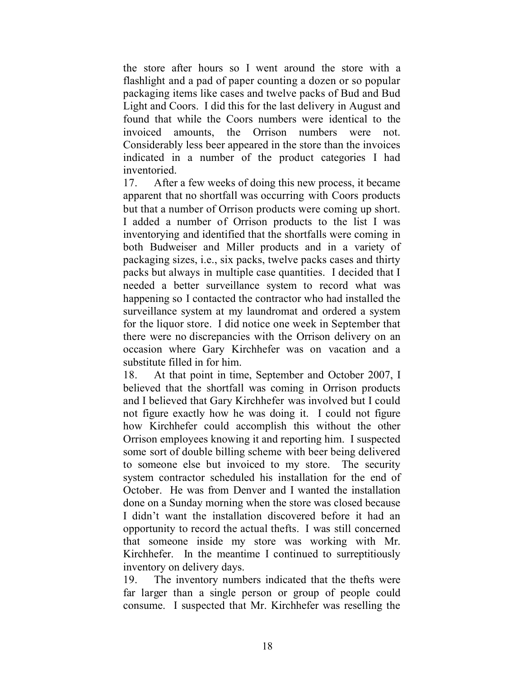the store after hours so I went around the store with a flashlight and a pad of paper counting a dozen or so popular packaging items like cases and twelve packs of Bud and Bud Light and Coors. I did this for the last delivery in August and found that while the Coors numbers were identical to the invoiced amounts, the Orrison numbers were not. Considerably less beer appeared in the store than the invoices indicated in a number of the product categories I had inventoried.

17. After a few weeks of doing this new process, it became apparent that no shortfall was occurring with Coors products but that a number of Orrison products were coming up short. I added a number of Orrison products to the list I was inventorying and identified that the shortfalls were coming in both Budweiser and Miller products and in a variety of packaging sizes, i.e., six packs, twelve packs cases and thirty packs but always in multiple case quantities. I decided that I needed a better surveillance system to record what was happening so I contacted the contractor who had installed the surveillance system at my laundromat and ordered a system for the liquor store. I did notice one week in September that there were no discrepancies with the Orrison delivery on an occasion where Gary Kirchhefer was on vacation and a substitute filled in for him.

18. At that point in time, September and October 2007, I believed that the shortfall was coming in Orrison products and I believed that Gary Kirchhefer was involved but I could not figure exactly how he was doing it. I could not figure how Kirchhefer could accomplish this without the other Orrison employees knowing it and reporting him. I suspected some sort of double billing scheme with beer being delivered to someone else but invoiced to my store. The security system contractor scheduled his installation for the end of October. He was from Denver and I wanted the installation done on a Sunday morning when the store was closed because I didn't want the installation discovered before it had an opportunity to record the actual thefts. I was still concerned that someone inside my store was working with Mr. Kirchhefer. In the meantime I continued to surreptitiously inventory on delivery days.

19. The inventory numbers indicated that the thefts were far larger than a single person or group of people could consume. I suspected that Mr. Kirchhefer was reselling the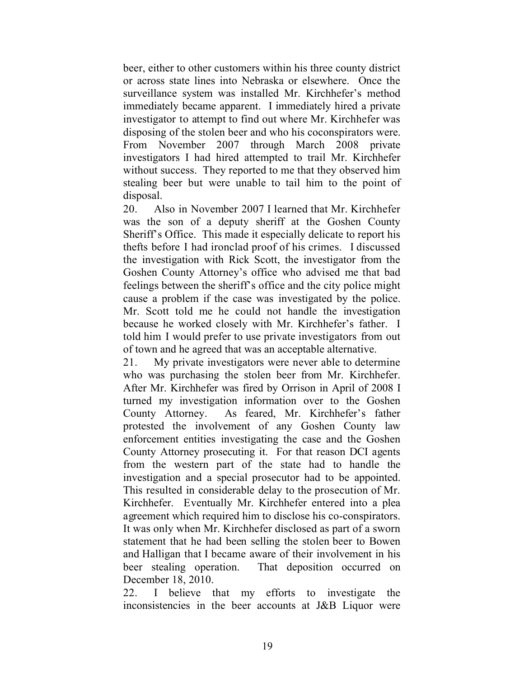beer, either to other customers within his three county district or across state lines into Nebraska or elsewhere. Once the surveillance system was installed Mr. Kirchhefer's method immediately became apparent. I immediately hired a private investigator to attempt to find out where Mr. Kirchhefer was disposing of the stolen beer and who his coconspirators were. From November 2007 through March 2008 private investigators I had hired attempted to trail Mr. Kirchhefer without success. They reported to me that they observed him stealing beer but were unable to tail him to the point of disposal.

20. Also in November 2007 I learned that Mr. Kirchhefer was the son of a deputy sheriff at the Goshen County Sheriff's Office. This made it especially delicate to report his thefts before I had ironclad proof of his crimes. I discussed the investigation with Rick Scott, the investigator from the Goshen County Attorney's office who advised me that bad feelings between the sheriff's office and the city police might cause a problem if the case was investigated by the police. Mr. Scott told me he could not handle the investigation because he worked closely with Mr. Kirchhefer's father. I told him I would prefer to use private investigators from out of town and he agreed that was an acceptable alternative.

21. My private investigators were never able to determine who was purchasing the stolen beer from Mr. Kirchhefer. After Mr. Kirchhefer was fired by Orrison in April of 2008 I turned my investigation information over to the Goshen County Attorney. As feared, Mr. Kirchhefer's father protested the involvement of any Goshen County law enforcement entities investigating the case and the Goshen County Attorney prosecuting it. For that reason DCI agents from the western part of the state had to handle the investigation and a special prosecutor had to be appointed. This resulted in considerable delay to the prosecution of Mr. Kirchhefer. Eventually Mr. Kirchhefer entered into a plea agreement which required him to disclose his co-conspirators. It was only when Mr. Kirchhefer disclosed as part of a sworn statement that he had been selling the stolen beer to Bowen and Halligan that I became aware of their involvement in his beer stealing operation. That deposition occurred on December 18, 2010.

22. I believe that my efforts to investigate the inconsistencies in the beer accounts at J&B Liquor were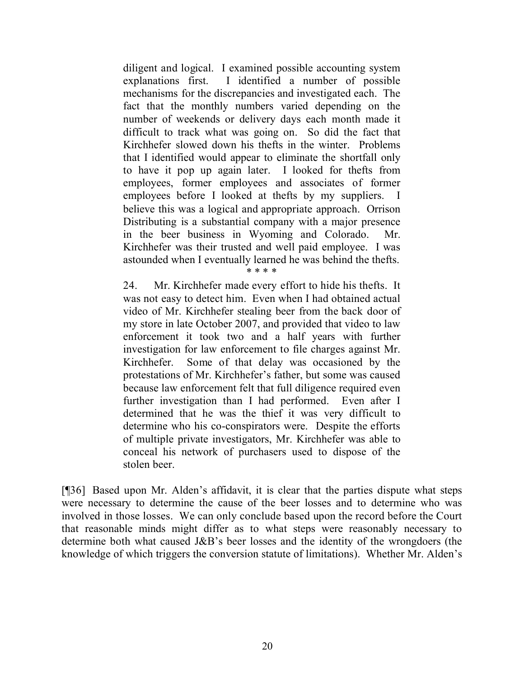diligent and logical. I examined possible accounting system explanations first. I identified a number of possible mechanisms for the discrepancies and investigated each. The fact that the monthly numbers varied depending on the number of weekends or delivery days each month made it difficult to track what was going on. So did the fact that Kirchhefer slowed down his thefts in the winter. Problems that I identified would appear to eliminate the shortfall only to have it pop up again later. I looked for thefts from employees, former employees and associates of former employees before I looked at thefts by my suppliers. I believe this was a logical and appropriate approach. Orrison Distributing is a substantial company with a major presence in the beer business in Wyoming and Colorado. Mr. Kirchhefer was their trusted and well paid employee. I was astounded when I eventually learned he was behind the thefts.

**\* \* \* \*** 

24. Mr. Kirchhefer made every effort to hide his thefts. It was not easy to detect him. Even when I had obtained actual video of Mr. Kirchhefer stealing beer from the back door of my store in late October 2007, and provided that video to law enforcement it took two and a half years with further investigation for law enforcement to file charges against Mr. Kirchhefer. Some of that delay was occasioned by the protestations of Mr. Kirchhefer's father, but some was caused because law enforcement felt that full diligence required even further investigation than I had performed. Even after I determined that he was the thief it was very difficult to determine who his co-conspirators were. Despite the efforts of multiple private investigators, Mr. Kirchhefer was able to conceal his network of purchasers used to dispose of the stolen beer.

[¶36] Based upon Mr. Alden's affidavit, it is clear that the parties dispute what steps were necessary to determine the cause of the beer losses and to determine who was involved in those losses. We can only conclude based upon the record before the Court that reasonable minds might differ as to what steps were reasonably necessary to determine both what caused J&B's beer losses and the identity of the wrongdoers (the knowledge of which triggers the conversion statute of limitations). Whether Mr. Alden's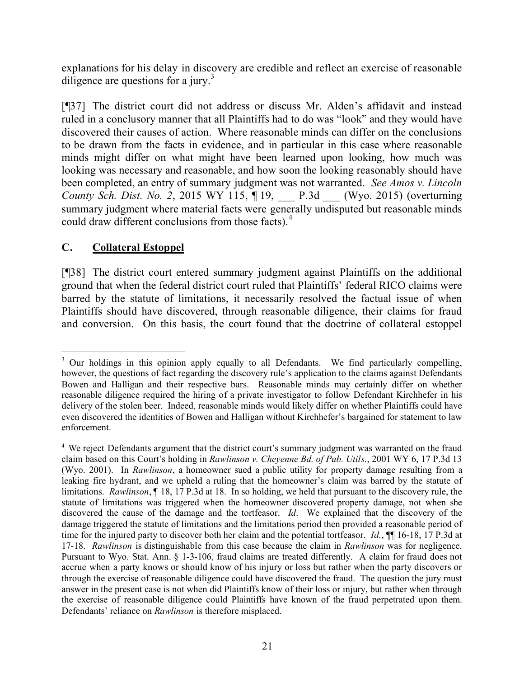explanations for his delay in discovery are credible and reflect an exercise of reasonable diligence are questions for a jury.<sup>3</sup>

[¶37] The district court did not address or discuss Mr. Alden's affidavit and instead ruled in a conclusory manner that all Plaintiffs had to do was "look" and they would have discovered their causes of action. Where reasonable minds can differ on the conclusions to be drawn from the facts in evidence, and in particular in this case where reasonable minds might differ on what might have been learned upon looking, how much was looking was necessary and reasonable, and how soon the looking reasonably should have been completed, an entry of summary judgment was not warranted. *See Amos v. Lincoln County Sch. Dist. No. 2*, 2015 WY 115, ¶ 19, \_\_\_ P.3d \_\_\_ (Wyo. 2015) (overturning summary judgment where material facts were generally undisputed but reasonable minds could draw different conclusions from those facts).<sup>4</sup>

# **C. Collateral Estoppel**

[¶38] The district court entered summary judgment against Plaintiffs on the additional ground that when the federal district court ruled that Plaintiffs' federal RICO claims were barred by the statute of limitations, it necessarily resolved the factual issue of when Plaintiffs should have discovered, through reasonable diligence, their claims for fraud and conversion. On this basis, the court found that the doctrine of collateral estoppel

 $\overline{a}$ <sup>3</sup> Our holdings in this opinion apply equally to all Defendants. We find particularly compelling, however, the questions of fact regarding the discovery rule's application to the claims against Defendants Bowen and Halligan and their respective bars. Reasonable minds may certainly differ on whether reasonable diligence required the hiring of a private investigator to follow Defendant Kirchhefer in his delivery of the stolen beer. Indeed, reasonable minds would likely differ on whether Plaintiffs could have even discovered the identities of Bowen and Halligan without Kirchhefer's bargained for statement to law enforcement.

<sup>&</sup>lt;sup>4</sup> We reject Defendants argument that the district court's summary judgment was warranted on the fraud claim based on this Court's holding in *Rawlinson v. Cheyenne Bd. of Pub. Utils.*, 2001 WY 6, 17 P.3d 13 (Wyo. 2001). In *Rawlinson*, a homeowner sued a public utility for property damage resulting from a leaking fire hydrant, and we upheld a ruling that the homeowner's claim was barred by the statute of limitations. *Rawlinson*, ¶ 18, 17 P.3d at 18. In so holding, we held that pursuant to the discovery rule, the statute of limitations was triggered when the homeowner discovered property damage, not when she discovered the cause of the damage and the tortfeasor. *Id*. We explained that the discovery of the damage triggered the statute of limitations and the limitations period then provided a reasonable period of time for the injured party to discover both her claim and the potential tortfeasor. *Id.*,  $\P\P$  16-18, 17 P.3d at 17-18. *Rawlinson* is distinguishable from this case because the claim in *Rawlinson* was for negligence. Pursuant to Wyo. Stat. Ann. § 1-3-106, fraud claims are treated differently. A claim for fraud does not accrue when a party knows or should know of his injury or loss but rather when the party discovers or through the exercise of reasonable diligence could have discovered the fraud. The question the jury must answer in the present case is not when did Plaintiffs know of their loss or injury, but rather when through the exercise of reasonable diligence could Plaintiffs have known of the fraud perpetrated upon them. Defendants' reliance on *Rawlinson* is therefore misplaced.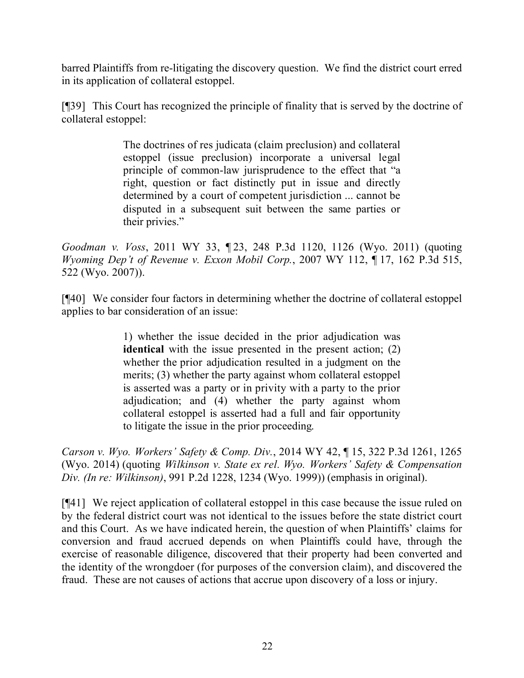barred Plaintiffs from re-litigating the discovery question. We find the district court erred in its application of collateral estoppel.

[¶39] This Court has recognized the principle of finality that is served by the doctrine of collateral estoppel:

> The doctrines of res judicata (claim preclusion) and collateral estoppel (issue preclusion) incorporate a universal legal principle of common-law jurisprudence to the effect that "a right, question or fact distinctly put in issue and directly determined by a court of competent jurisdiction ... cannot be disputed in a subsequent suit between the same parties or their privies."

*Goodman v. Voss*, 2011 WY 33, ¶ 23, 248 P.3d 1120, 1126 (Wyo. 2011) (quoting *Wyoming Dep't of Revenue v. Exxon Mobil Corp.*, 2007 WY 112, ¶ 17, 162 P.3d 515, 522 (Wyo. 2007)).

[¶40] We consider four factors in determining whether the doctrine of collateral estoppel applies to bar consideration of an issue:

> 1) whether the issue decided in the prior adjudication was **identical** with the issue presented in the present action; (2) whether the prior adjudication resulted in a judgment on the merits; (3) whether the party against whom collateral estoppel is asserted was a party or in privity with a party to the prior adjudication; and (4) whether the party against whom collateral estoppel is asserted had a full and fair opportunity to litigate the issue in the prior proceeding.

*Carson v. Wyo. Workers' Safety & Comp. Div.*, 2014 WY 42, ¶ 15, 322 P.3d 1261, 1265 (Wyo. 2014) (quoting *Wilkinson v. State ex rel. Wyo. Workers' Safety & Compensation Div. (In re: Wilkinson)*, 991 P.2d 1228, 1234 (Wyo. 1999)) (emphasis in original).

[¶41] We reject application of collateral estoppel in this case because the issue ruled on by the federal district court was not identical to the issues before the state district court and this Court. As we have indicated herein, the question of when Plaintiffs' claims for conversion and fraud accrued depends on when Plaintiffs could have, through the exercise of reasonable diligence, discovered that their property had been converted and the identity of the wrongdoer (for purposes of the conversion claim), and discovered the fraud. These are not causes of actions that accrue upon discovery of a loss or injury.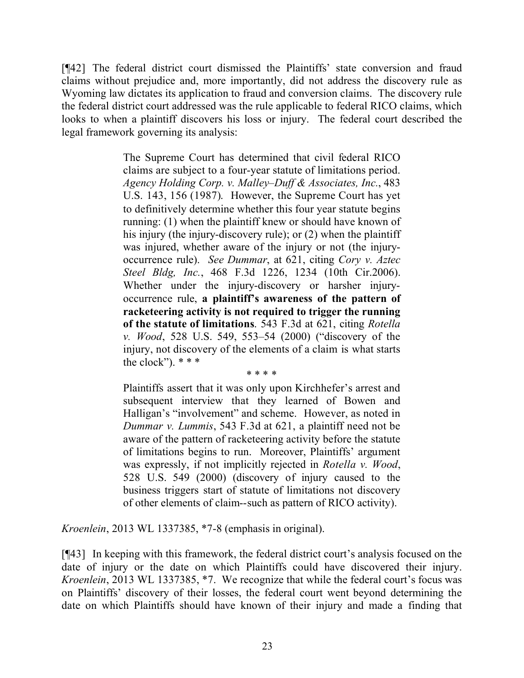[¶42] The federal district court dismissed the Plaintiffs' state conversion and fraud claims without prejudice and, more importantly, did not address the discovery rule as Wyoming law dictates its application to fraud and conversion claims. The discovery rule the federal district court addressed was the rule applicable to federal RICO claims, which looks to when a plaintiff discovers his loss or injury. The federal court described the legal framework governing its analysis:

> The Supreme Court has determined that civil federal RICO claims are subject to a four-year statute of limitations period. *Agency Holding Corp. v. Malley–Duff & Associates, Inc.*, 483 U.S. 143, 156 (1987). However, the Supreme Court has yet to definitively determine whether this four year statute begins running: (1) when the plaintiff knew or should have known of his injury (the injury-discovery rule); or (2) when the plaintiff was injured, whether aware of the injury or not (the injuryoccurrence rule). *See Dummar*, at 621, citing *Cory v. Aztec Steel Bldg, Inc.*, 468 F.3d 1226, 1234 (10th Cir.2006). Whether under the injury-discovery or harsher injuryoccurrence rule, **a plaintiff's awareness of the pattern of racketeering activity is not required to trigger the running of the statute of limitations**. 543 F.3d at 621, citing *Rotella v. Wood*, 528 U.S. 549, 553–54 (2000) ("discovery of the injury, not discovery of the elements of a claim is what starts the clock").  $***$

\* \* \* \*

Plaintiffs assert that it was only upon Kirchhefer's arrest and subsequent interview that they learned of Bowen and Halligan's "involvement" and scheme. However, as noted in *Dummar v. Lummis*, 543 F.3d at 621, a plaintiff need not be aware of the pattern of racketeering activity before the statute of limitations begins to run. Moreover, Plaintiffs' argument was expressly, if not implicitly rejected in *Rotella v. Wood*, 528 U.S. 549 (2000) (discovery of injury caused to the business triggers start of statute of limitations not discovery of other elements of claim--such as pattern of RICO activity).

*Kroenlein*, 2013 WL 1337385, \*7-8 (emphasis in original).

[¶43] In keeping with this framework, the federal district court's analysis focused on the date of injury or the date on which Plaintiffs could have discovered their injury. *Kroenlein*, 2013 WL 1337385, \*7. We recognize that while the federal court's focus was on Plaintiffs' discovery of their losses, the federal court went beyond determining the date on which Plaintiffs should have known of their injury and made a finding that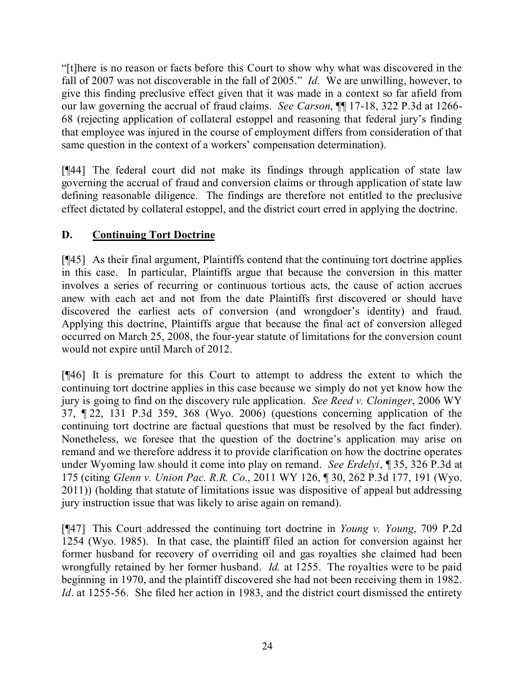"[t]here is no reason or facts before this Court to show why what was discovered in the fall of 2007 was not discoverable in the fall of 2005." *Id.* We are unwilling, however, to give this finding preclusive effect given that it was made in a context so far afield from our law governing the accrual of fraud claims. *See Carson*, ¶¶ 17-18, 322 P.3d at 1266- 68 (rejecting application of collateral estoppel and reasoning that federal jury's finding that employee was injured in the course of employment differs from consideration of that same question in the context of a workers' compensation determination).

[¶44] The federal court did not make its findings through application of state law governing the accrual of fraud and conversion claims or through application of state law defining reasonable diligence. The findings are therefore not entitled to the preclusive effect dictated by collateral estoppel, and the district court erred in applying the doctrine.

# **D. Continuing Tort Doctrine**

[¶45] As their final argument, Plaintiffs contend that the continuing tort doctrine applies in this case. In particular, Plaintiffs argue that because the conversion in this matter involves a series of recurring or continuous tortious acts, the cause of action accrues anew with each act and not from the date Plaintiffs first discovered or should have discovered the earliest acts of conversion (and wrongdoer's identity) and fraud. Applying this doctrine, Plaintiffs argue that because the final act of conversion alleged occurred on March 25, 2008, the four-year statute of limitations for the conversion count would not expire until March of 2012.

[¶46] It is premature for this Court to attempt to address the extent to which the continuing tort doctrine applies in this case because we simply do not yet know how the jury is going to find on the discovery rule application. *See Reed v. Cloninger*, 2006 WY 37, ¶ 22, 131 P.3d 359, 368 (Wyo. 2006) (questions concerning application of the continuing tort doctrine are factual questions that must be resolved by the fact finder). Nonetheless, we foresee that the question of the doctrine's application may arise on remand and we therefore address it to provide clarification on how the doctrine operates under Wyoming law should it come into play on remand. *See Erdelyi*, ¶ 35, 326 P.3d at 175 (citing *Glenn v. Union Pac. R.R. Co.*, 2011 WY 126, ¶ 30, 262 P.3d 177, 191 (Wyo. 2011)) (holding that statute of limitations issue was dispositive of appeal but addressing jury instruction issue that was likely to arise again on remand).

[¶47] This Court addressed the continuing tort doctrine in *Young v. Young*, 709 P.2d 1254 (Wyo. 1985). In that case, the plaintiff filed an action for conversion against her former husband for recovery of overriding oil and gas royalties she claimed had been wrongfully retained by her former husband. *Id.* at 1255. The royalties were to be paid beginning in 1970, and the plaintiff discovered she had not been receiving them in 1982. *Id*. at 1255-56. She filed her action in 1983, and the district court dismissed the entirety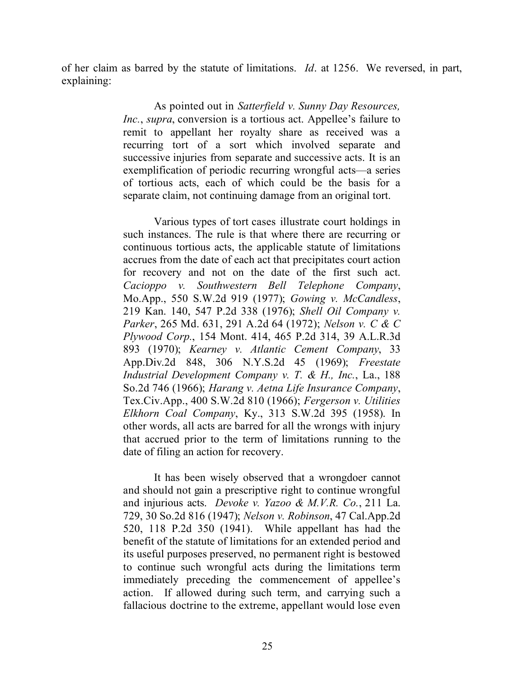of her claim as barred by the statute of limitations. *Id*. at 1256. We reversed, in part, explaining:

> As pointed out in *Satterfield v. Sunny Day Resources, Inc.*, *supra*, conversion is a tortious act. Appellee's failure to remit to appellant her royalty share as received was a recurring tort of a sort which involved separate and successive injuries from separate and successive acts. It is an exemplification of periodic recurring wrongful acts—a series of tortious acts, each of which could be the basis for a separate claim, not continuing damage from an original tort.

> Various types of tort cases illustrate court holdings in such instances. The rule is that where there are recurring or continuous tortious acts, the applicable statute of limitations accrues from the date of each act that precipitates court action for recovery and not on the date of the first such act. *Cacioppo v. Southwestern Bell Telephone Company*, Mo.App., 550 S.W.2d 919 (1977); *Gowing v. McCandless*, 219 Kan. 140, 547 P.2d 338 (1976); *Shell Oil Company v. Parker*, 265 Md. 631, 291 A.2d 64 (1972); *Nelson v. C & C Plywood Corp.*, 154 Mont. 414, 465 P.2d 314, 39 A.L.R.3d 893 (1970); *Kearney v. Atlantic Cement Company*, 33 App.Div.2d 848, 306 N.Y.S.2d 45 (1969); *Freestate Industrial Development Company v. T. & H., Inc.*, La., 188 So.2d 746 (1966); *Harang v. Aetna Life Insurance Company*, Tex.Civ.App., 400 S.W.2d 810 (1966); *Fergerson v. Utilities Elkhorn Coal Company*, Ky., 313 S.W.2d 395 (1958). In other words, all acts are barred for all the wrongs with injury that accrued prior to the term of limitations running to the date of filing an action for recovery.

> It has been wisely observed that a wrongdoer cannot and should not gain a prescriptive right to continue wrongful and injurious acts. *Devoke v. Yazoo & M.V.R. Co.*, 211 La. 729, 30 So.2d 816 (1947); *Nelson v. Robinson*, 47 Cal.App.2d 520, 118 P.2d 350 (1941). While appellant has had the benefit of the statute of limitations for an extended period and its useful purposes preserved, no permanent right is bestowed to continue such wrongful acts during the limitations term immediately preceding the commencement of appellee's action. If allowed during such term, and carrying such a fallacious doctrine to the extreme, appellant would lose even